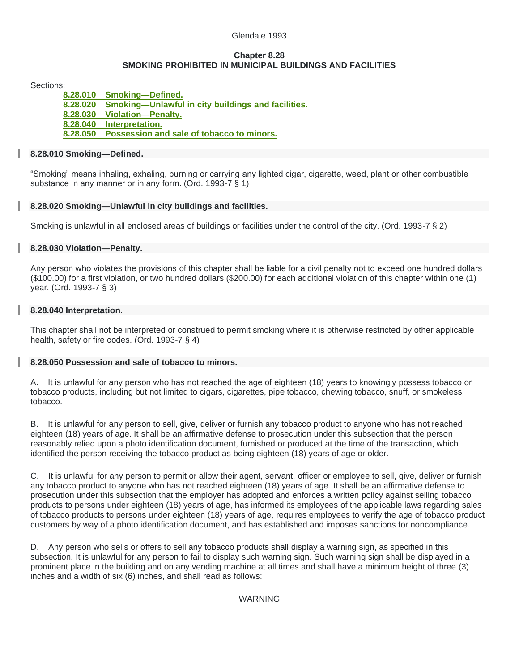### Glendale 1993

### **Chapter 8.28 SMOKING PROHIBITED IN MUNICIPAL BUILDINGS AND FACILITIES**

Sections:

**[8.28.010 Smoking—Defined.](file://///CO/Glendale/%2523!/Glendale08/Glendale0828.html%25238.28.010) [8.28.020 Smoking—Unlawful in city buildings and facilities.](file://///CO/Glendale/%2523!/Glendale08/Glendale0828.html%25238.28.020) [8.28.030 Violation—Penalty.](file://///CO/Glendale/%2523!/Glendale08/Glendale0828.html%25238.28.030) [8.28.040 Interpretation.](file://///CO/Glendale/%2523!/Glendale08/Glendale0828.html%25238.28.040) [8.28.050 Possession and sale of tobacco to minors.](file://///CO/Glendale/%2523!/Glendale08/Glendale0828.html%25238.28.050)**

## **8.28.010 Smoking—Defined.**

"Smoking" means inhaling, exhaling, burning or carrying any lighted cigar, cigarette, weed, plant or other combustible substance in any manner or in any form. (Ord. 1993-7 § 1)

# **8.28.020 Smoking—Unlawful in city buildings and facilities.**

Smoking is unlawful in all enclosed areas of buildings or facilities under the control of the city. (Ord. 1993-7 § 2)

## **8.28.030 Violation—Penalty.**

Any person who violates the provisions of this chapter shall be liable for a civil penalty not to exceed one hundred dollars (\$100.00) for a first violation, or two hundred dollars (\$200.00) for each additional violation of this chapter within one (1) year. (Ord. 1993-7 § 3)

## **8.28.040 Interpretation.**

This chapter shall not be interpreted or construed to permit smoking where it is otherwise restricted by other applicable health, safety or fire codes. (Ord. 1993-7 § 4)

#### **8.28.050 Possession and sale of tobacco to minors.**

A. It is unlawful for any person who has not reached the age of eighteen (18) years to knowingly possess tobacco or tobacco products, including but not limited to cigars, cigarettes, pipe tobacco, chewing tobacco, snuff, or smokeless tobacco.

B. It is unlawful for any person to sell, give, deliver or furnish any tobacco product to anyone who has not reached eighteen (18) years of age. It shall be an affirmative defense to prosecution under this subsection that the person reasonably relied upon a photo identification document, furnished or produced at the time of the transaction, which identified the person receiving the tobacco product as being eighteen (18) years of age or older.

C. It is unlawful for any person to permit or allow their agent, servant, officer or employee to sell, give, deliver or furnish any tobacco product to anyone who has not reached eighteen (18) years of age. It shall be an affirmative defense to prosecution under this subsection that the employer has adopted and enforces a written policy against selling tobacco products to persons under eighteen (18) years of age, has informed its employees of the applicable laws regarding sales of tobacco products to persons under eighteen (18) years of age, requires employees to verify the age of tobacco product customers by way of a photo identification document, and has established and imposes sanctions for noncompliance.

D. Any person who sells or offers to sell any tobacco products shall display a warning sign, as specified in this subsection. It is unlawful for any person to fail to display such warning sign. Such warning sign shall be displayed in a prominent place in the building and on any vending machine at all times and shall have a minimum height of three (3) inches and a width of six (6) inches, and shall read as follows:

#### WARNING